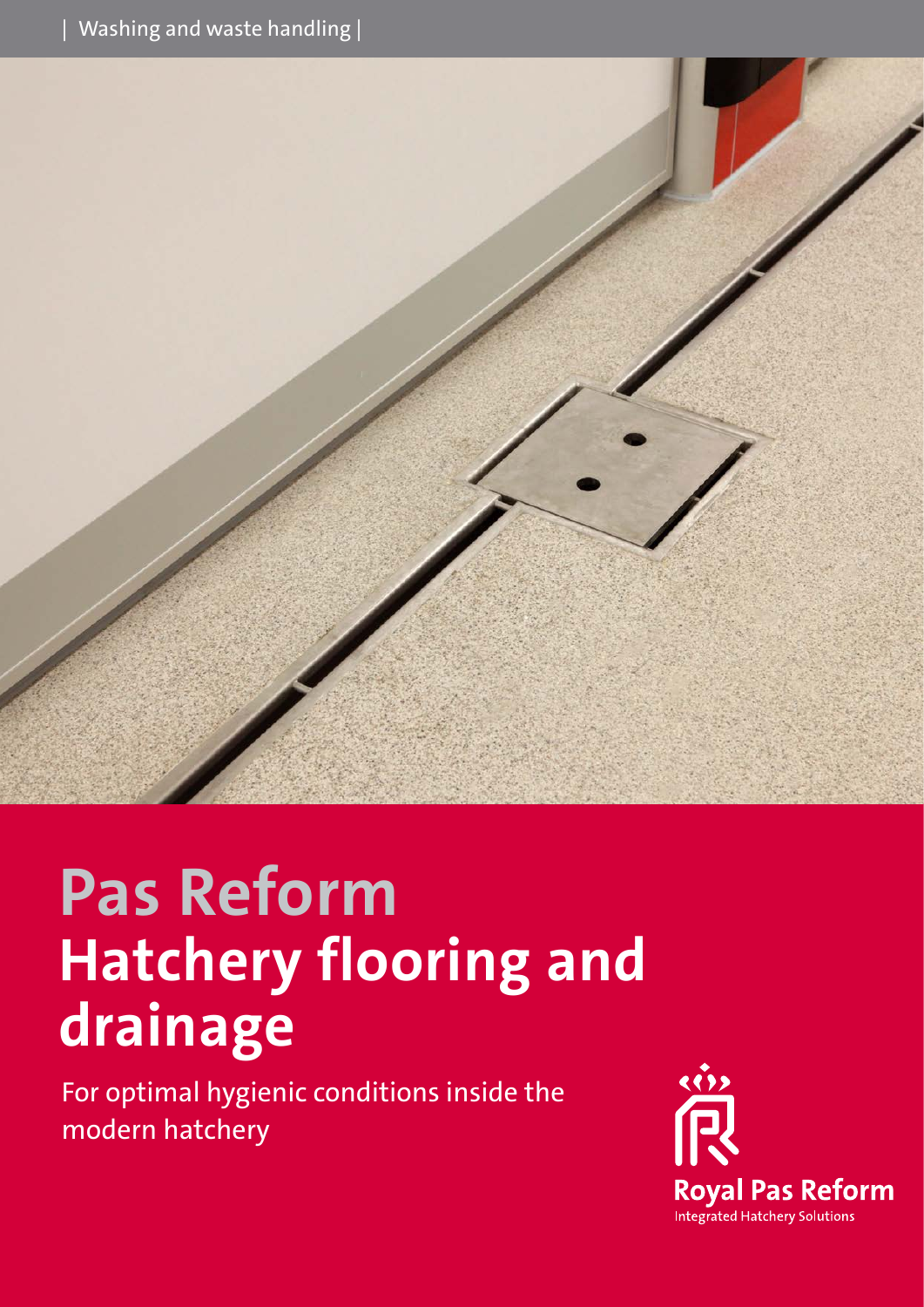

# **Pas Reform Hatchery flooring and drainage**

For optimal hygienic conditions inside the modern hatchery